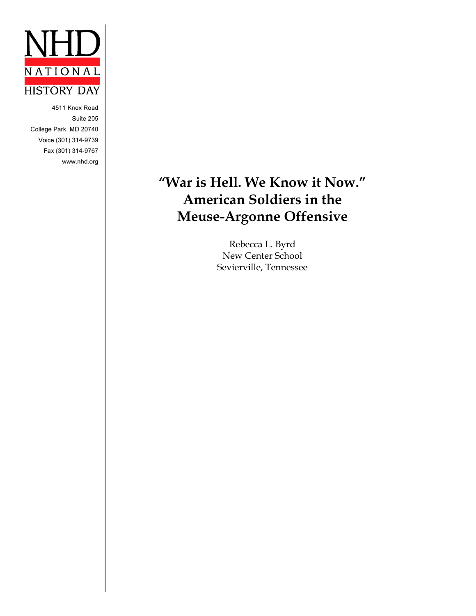

4511 Knox Road Suite 205 College Park, MD 20740 Voice (301) 314-9739 Fax (301) 314-9767 www.nhd.org

## **"War is Hell. We Know it Now." American Soldiers in the Meuse-Argonne Offensive**

Rebecca L. Byrd New Center School Sevierville, Tennessee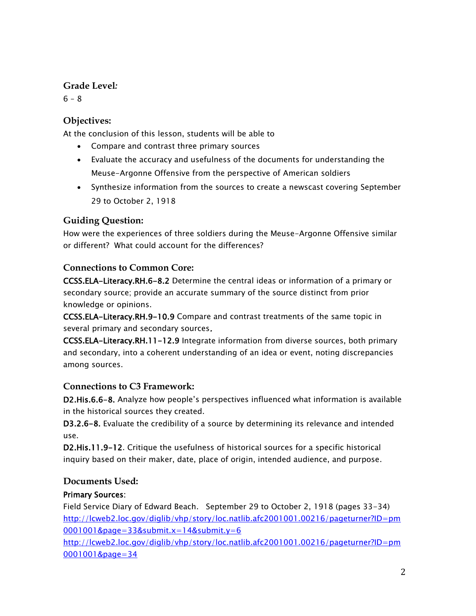## **Grade Level***:*

 $6 - 8$ 

## **Objectives:**

At the conclusion of this lesson, students will be able to

- Compare and contrast three primary sources
- Evaluate the accuracy and usefulness of the documents for understanding the Meuse-Argonne Offensive from the perspective of American soldiers
- Synthesize information from the sources to create a newscast covering September 29 to October 2, 1918

## **Guiding Question:**

How were the experiences of three soldiers during the Meuse-Argonne Offensive similar or different? What could account for the differences?

## **Connections to Common Core:**

CCSS.ELA-Literacy.RH.6-8.2 Determine the central ideas or information of a primary or secondary source; provide an accurate summary of the source distinct from prior knowledge or opinions.

CCSS.ELA-Literacy.RH.9-10.9 Compare and contrast treatments of the same topic in several primary and secondary sources.

CCSS.ELA-Literacy.RH.11-12.9 Integrate information from diverse sources, both primary and secondary, into a coherent understanding of an idea or event, noting discrepancies among sources.

## **Connections to C3 Framework:**

D2.His.6.6-8. Analyze how people's perspectives influenced what information is available in the historical sources they created.

D3.2.6-8. Evaluate the credibility of a source by determining its relevance and intended use.

D2.His.11.9-12. Critique the usefulness of historical sources for a specific historical inquiry based on their maker, date, place of origin, intended audience, and purpose.

## **Documents Used:**

## Primary Sources:

Field Service Diary of Edward Beach. September 29 to October 2, 1918 (pages 33-34) [http://lcweb2.loc.gov/diglib/vhp/story/loc.natlib.afc2001001.00216/pageturner?ID=pm](http://lcweb2.loc.gov/diglib/vhp/story/loc.natlib.afc2001001.00216/pageturner?ID=pm0001001&page=33&submit.x=14&submit.y=6) [0001001&page=33&submit.x=14&submit.y=6](http://lcweb2.loc.gov/diglib/vhp/story/loc.natlib.afc2001001.00216/pageturner?ID=pm0001001&page=33&submit.x=14&submit.y=6)

[http://lcweb2.loc.gov/diglib/vhp/story/loc.natlib.afc2001001.00216/pageturner?ID=pm](http://lcweb2.loc.gov/diglib/vhp/story/loc.natlib.afc2001001.00216/pageturner?ID=pm0001001&page=34) [0001001&page=34](http://lcweb2.loc.gov/diglib/vhp/story/loc.natlib.afc2001001.00216/pageturner?ID=pm0001001&page=34)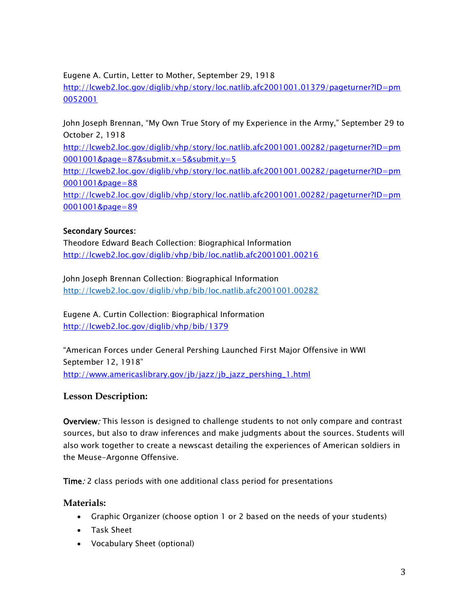#### Eugene A. Curtin, Letter to Mother, September 29, 1918

[http://lcweb2.loc.gov/diglib/vhp/story/loc.natlib.afc2001001.01379/pageturner?ID=pm](http://lcweb2.loc.gov/diglib/vhp/story/loc.natlib.afc2001001.01379/pageturner?ID=pm0052001) [0052001](http://lcweb2.loc.gov/diglib/vhp/story/loc.natlib.afc2001001.01379/pageturner?ID=pm0052001)

John Joseph Brennan, "My Own True Story of my Experience in the Army," September 29 to October 2, 1918

[http://lcweb2.loc.gov/diglib/vhp/story/loc.natlib.afc2001001.00282/pageturner?ID=pm](http://lcweb2.loc.gov/diglib/vhp/story/loc.natlib.afc2001001.00282/pageturner?ID=pm0001001&page=87&submit.x=5&submit.y=5) [0001001&page=87&submit.x=5&submit.y=5](http://lcweb2.loc.gov/diglib/vhp/story/loc.natlib.afc2001001.00282/pageturner?ID=pm0001001&page=87&submit.x=5&submit.y=5)

[http://lcweb2.loc.gov/diglib/vhp/story/loc.natlib.afc2001001.00282/pageturner?ID=pm](http://lcweb2.loc.gov/diglib/vhp/story/loc.natlib.afc2001001.00282/pageturner?ID=pm0001001&page=88) [0001001&page=88](http://lcweb2.loc.gov/diglib/vhp/story/loc.natlib.afc2001001.00282/pageturner?ID=pm0001001&page=88)

[http://lcweb2.loc.gov/diglib/vhp/story/loc.natlib.afc2001001.00282/pageturner?ID=pm](http://lcweb2.loc.gov/diglib/vhp/story/loc.natlib.afc2001001.00282/pageturner?ID=pm0001001&page=89) [0001001&page=89](http://lcweb2.loc.gov/diglib/vhp/story/loc.natlib.afc2001001.00282/pageturner?ID=pm0001001&page=89)

### Secondary Sources:

Theodore Edward Beach Collection: Biographical Information <http://lcweb2.loc.gov/diglib/vhp/bib/loc.natlib.afc2001001.00216>

John Joseph Brennan Collection: Biographical Information <http://lcweb2.loc.gov/diglib/vhp/bib/loc.natlib.afc2001001.00282>

Eugene A. Curtin Collection: Biographical Information <http://lcweb2.loc.gov/diglib/vhp/bib/1379>

"American Forces under General Pershing Launched First Major Offensive in WWI September 12, 1918" [http://www.americaslibrary.gov/jb/jazz/jb\\_jazz\\_pershing\\_1.html](http://www.americaslibrary.gov/jb/jazz/jb_jazz_pershing_1.html)

### **Lesson Description:**

Overview: This lesson is designed to challenge students to not only compare and contrast sources, but also to draw inferences and make judgments about the sources. Students will also work together to create a newscast detailing the experiences of American soldiers in the Meuse-Argonne Offensive.

Time: 2 class periods with one additional class period for presentations

### **Materials:**

- Graphic Organizer (choose option 1 or 2 based on the needs of your students)
- Task Sheet
- Vocabulary Sheet (optional)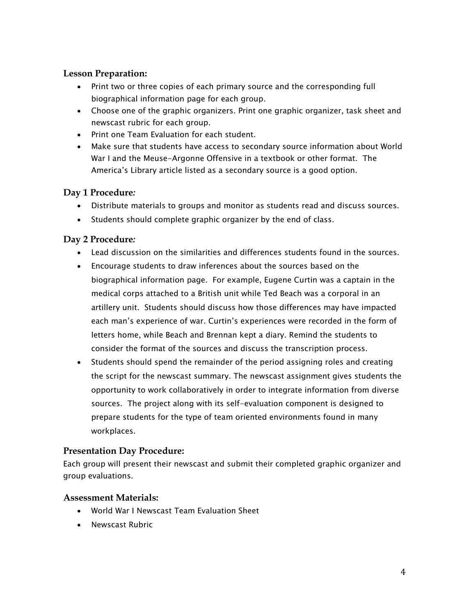### **Lesson Preparation:**

- Print two or three copies of each primary source and the corresponding full biographical information page for each group.
- Choose one of the graphic organizers. Print one graphic organizer, task sheet and newscast rubric for each group.
- Print one Team Evaluation for each student.
- Make sure that students have access to secondary source information about World War I and the Meuse-Argonne Offensive in a textbook or other format. The America's Library article listed as a secondary source is a good option.

## **Day 1 Procedure***:*

- Distribute materials to groups and monitor as students read and discuss sources.
- Students should complete graphic organizer by the end of class.

## **Day 2 Procedure***:*

- Lead discussion on the similarities and differences students found in the sources.
- Encourage students to draw inferences about the sources based on the biographical information page. For example, Eugene Curtin was a captain in the medical corps attached to a British unit while Ted Beach was a corporal in an artillery unit. Students should discuss how those differences may have impacted each man's experience of war. Curtin's experiences were recorded in the form of letters home, while Beach and Brennan kept a diary. Remind the students to consider the format of the sources and discuss the transcription process.
- Students should spend the remainder of the period assigning roles and creating the script for the newscast summary. The newscast assignment gives students the opportunity to work collaboratively in order to integrate information from diverse sources. The project along with its self-evaluation component is designed to prepare students for the type of team oriented environments found in many workplaces.

### **Presentation Day Procedure:**

Each group will present their newscast and submit their completed graphic organizer and group evaluations.

### **Assessment Materials:**

- World War I Newscast Team Evaluation Sheet
- Newscast Rubric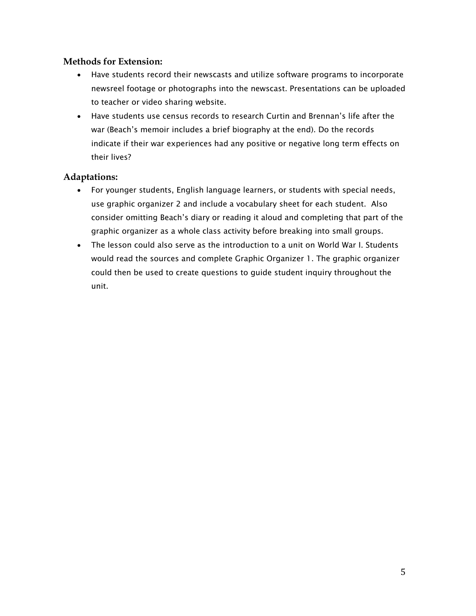#### **Methods for Extension:**

- Have students record their newscasts and utilize software programs to incorporate newsreel footage or photographs into the newscast. Presentations can be uploaded to teacher or video sharing website.
- Have students use census records to research Curtin and Brennan's life after the war (Beach's memoir includes a brief biography at the end). Do the records indicate if their war experiences had any positive or negative long term effects on their lives?

#### **Adaptations:**

- For younger students, English language learners, or students with special needs, use graphic organizer 2 and include a vocabulary sheet for each student. Also consider omitting Beach's diary or reading it aloud and completing that part of the graphic organizer as a whole class activity before breaking into small groups.
- The lesson could also serve as the introduction to a unit on World War I. Students would read the sources and complete Graphic Organizer 1. The graphic organizer could then be used to create questions to guide student inquiry throughout the unit.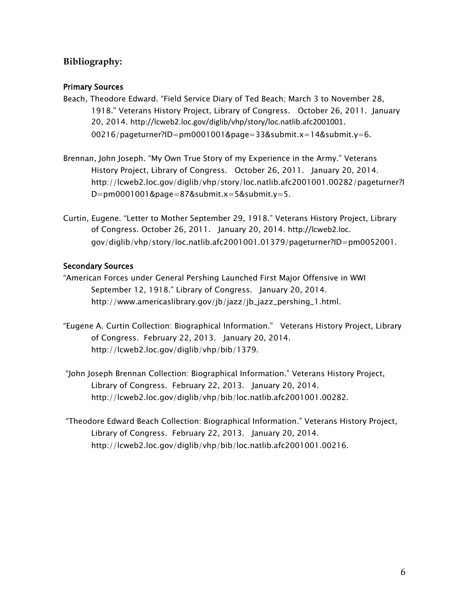## **Bibliography:**

#### Primary Sources

- Beach, Theodore Edward. "Field Service Diary of Ted Beach; March 3 to November 28, 1918." Veterans History Project, Library of Congress. October 26, 2011. January 20, 2014. <http://lcweb2.loc.gov/diglib/vhp/story/loc.natlib.afc2001001>. 00216/pageturner?ID=pm0001001&page=33&submit.x=14&submit.y=6.
- Brennan, John Joseph. "My Own True Story of my Experience in the Army." Veterans History Project, Library of Congress. October 26, 2011. January 20, 2014. http://lcweb2.loc.gov/diglib/vhp/story/loc.natlib.afc2001001.00282/pageturner?I D=pm0001001&page=87&submit.x=5&submit.y=5.
- Curtin, Eugene. "Letter to Mother September 29, 1918." Veterans History Project, Library of Congress. October 26, 2011. January 20, 2014. [http://lcweb2.loc](http://lcweb2.loc/). gov/diglib/vhp/story/loc.natlib.afc2001001.01379/pageturner?ID=pm0052001.

#### Secondary Sources

- "American Forces under General Pershing Launched First Major Offensive in WWI September 12, 1918." Library of Congress. January 20, 2014. http://www.americaslibrary.gov/jb/jazz/jb\_jazz\_pershing\_1.html.
- "Eugene A. Curtin Collection: Biographical Information." Veterans History Project, Library of Congress. February 22, 2013. January 20, 2014. http://lcweb2.loc.gov/diglib/vhp/bib/1379.
- "John Joseph Brennan Collection: Biographical Information." Veterans History Project, Library of Congress. February 22, 2013. January 20, 2014. http://lcweb2.loc.gov/diglib/vhp/bib/loc.natlib.afc2001001.00282.
- "Theodore Edward Beach Collection: Biographical Information." Veterans History Project, Library of Congress. February 22, 2013. January 20, 2014. http://lcweb2.loc.gov/diglib/vhp/bib/loc.natlib.afc2001001.00216.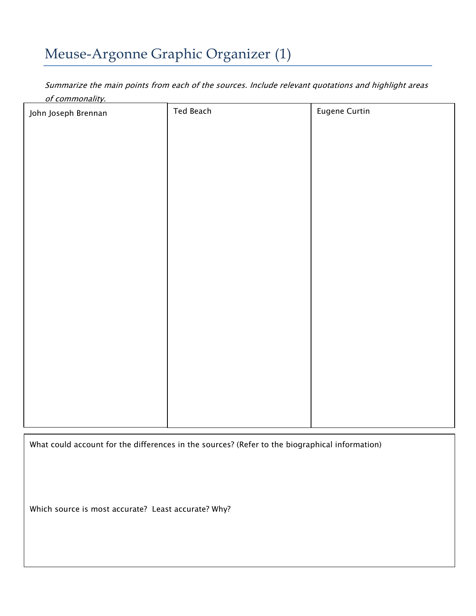## Meuse-Argonne Graphic Organizer (1)

Summarize the main points from each of the sources. Include relevant quotations and highlight areas of commonality.

| John Joseph Brennan | Ted Beach | <b>Eugene Curtin</b> |
|---------------------|-----------|----------------------|
|                     |           |                      |
|                     |           |                      |
|                     |           |                      |
|                     |           |                      |
|                     |           |                      |
|                     |           |                      |
|                     |           |                      |
|                     |           |                      |
|                     |           |                      |
|                     |           |                      |
|                     |           |                      |
|                     |           |                      |
|                     |           |                      |
|                     |           |                      |
|                     |           |                      |
|                     |           |                      |

What could account for the differences in the sources? (Refer to the biographical information)

Which source is most accurate? Least accurate? Why?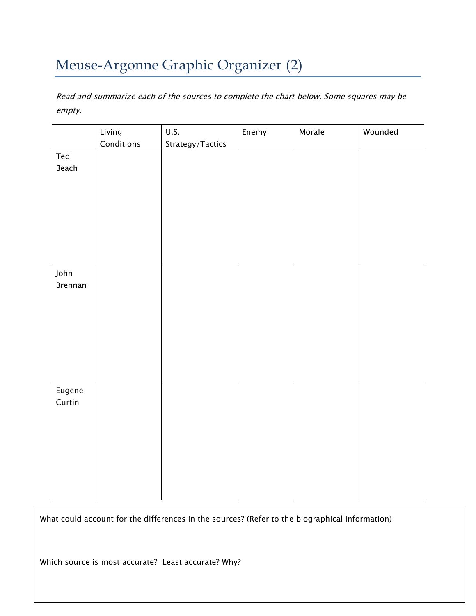## Meuse-Argonne Graphic Organizer (2)

Read and summarize each of the sources to complete the chart below. Some squares may be empty.

|                  | Living<br>Conditions | U.S.<br>Strategy/Tactics | Enemy | Morale | Wounded |
|------------------|----------------------|--------------------------|-------|--------|---------|
| Ted<br>Beach     |                      |                          |       |        |         |
| John<br>Brennan  |                      |                          |       |        |         |
| Eugene<br>Curtin |                      |                          |       |        |         |

What could account for the differences in the sources? (Refer to the biographical information)

Which source is most accurate? Least accurate? Why?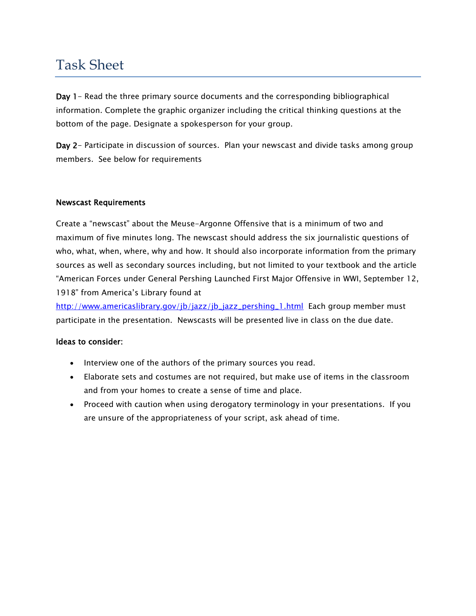## Task Sheet

Day 1- Read the three primary source documents and the corresponding bibliographical information. Complete the graphic organizer including the critical thinking questions at the bottom of the page. Designate a spokesperson for your group.

Day 2- Participate in discussion of sources. Plan your newscast and divide tasks among group members. See below for requirements

#### Newscast Requirements

Create a "newscast" about the Meuse-Argonne Offensive that is a minimum of two and maximum of five minutes long. The newscast should address the six journalistic questions of who, what, when, where, why and how. It should also incorporate information from the primary sources as well as secondary sources including, but not limited to your textbook and the article "American Forces under General Pershing Launched First Major Offensive in WWI, September 12, 1918" from America's Library found at

[http://www.americaslibrary.gov/jb/jazz/jb\\_jazz\\_pershing\\_1.html](http://www.americaslibrary.gov/jb/jazz/jb_jazz_pershing_1.html) Each group member must participate in the presentation. Newscasts will be presented live in class on the due date.

#### Ideas to consider:

- Interview one of the authors of the primary sources you read.
- Elaborate sets and costumes are not required, but make use of items in the classroom and from your homes to create a sense of time and place.
- Proceed with caution when using derogatory terminology in your presentations. If you are unsure of the appropriateness of your script, ask ahead of time.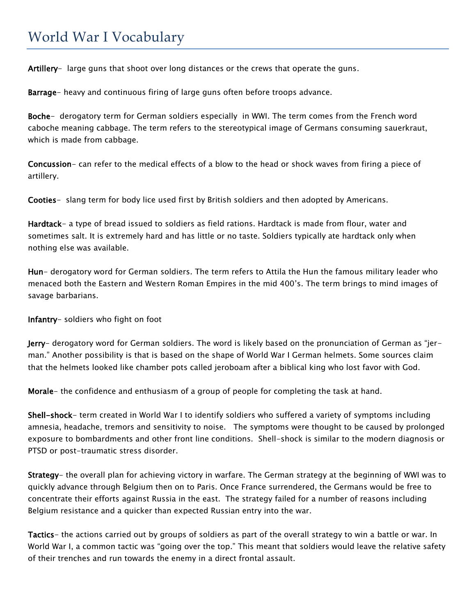## World War I Vocabulary

Artillery- large guns that shoot over long distances or the crews that operate the guns.

Barrage- heavy and continuous firing of large guns often before troops advance.

Boche- derogatory term for German soldiers especially in WWI. The term comes from the French word caboche meaning cabbage. The term refers to the stereotypical image of Germans consuming sauerkraut, which is made from cabbage.

Concussion- can refer to the medical effects of a blow to the head or shock waves from firing a piece of artillery.

Cooties- slang term for body lice used first by British soldiers and then adopted by Americans.

Hardtack- a type of bread issued to soldiers as field rations. Hardtack is made from flour, water and sometimes salt. It is extremely hard and has little or no taste. Soldiers typically ate hardtack only when nothing else was available.

Hun- derogatory word for German soldiers. The term refers to Attila the Hun the famous military leader who menaced both the Eastern and Western Roman Empires in the mid 400's. The term brings to mind images of savage barbarians.

Infantry- soldiers who fight on foot

Jerry- derogatory word for German soldiers. The word is likely based on the pronunciation of German as "jerman." Another possibility is that is based on the shape of World War I German helmets. Some sources claim that the helmets looked like chamber pots called jeroboam after a biblical king who lost favor with God.

Morale- the confidence and enthusiasm of a group of people for completing the task at hand.

Shell-shock- term created in World War I to identify soldiers who suffered a variety of symptoms including amnesia, headache, tremors and sensitivity to noise. The symptoms were thought to be caused by prolonged exposure to bombardments and other front line conditions. Shell-shock is similar to the modern diagnosis or PTSD or post-traumatic stress disorder.

Strategy- the overall plan for achieving victory in warfare. The German strategy at the beginning of WWI was to quickly advance through Belgium then on to Paris. Once France surrendered, the Germans would be free to concentrate their efforts against Russia in the east. The strategy failed for a number of reasons including Belgium resistance and a quicker than expected Russian entry into the war.

Tactics- the actions carried out by groups of soldiers as part of the overall strategy to win a battle or war. In World War I, a common tactic was "going over the top." This meant that soldiers would leave the relative safety of their trenches and run towards the enemy in a direct frontal assault.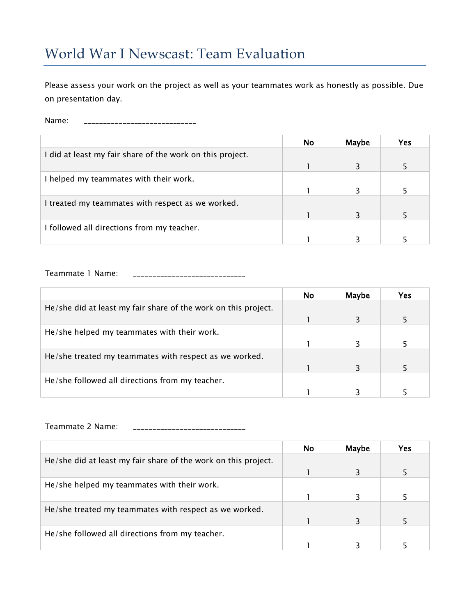## World War I Newscast: Team Evaluation

Please assess your work on the project as well as your teammates work as honestly as possible. Due on presentation day.

Name: \_\_\_\_\_\_\_\_\_\_\_\_\_\_\_\_\_\_\_\_\_\_\_\_\_\_\_\_\_

|                                                           | <b>No</b> | Maybe | Yes |
|-----------------------------------------------------------|-----------|-------|-----|
| I did at least my fair share of the work on this project. |           |       |     |
|                                                           |           |       |     |
| I helped my teammates with their work.                    |           |       |     |
|                                                           |           |       |     |
| I treated my teammates with respect as we worked.         |           |       |     |
|                                                           |           |       |     |
| I followed all directions from my teacher.                |           |       |     |
|                                                           |           |       |     |

Teammate 1 Name: \_\_\_\_\_\_\_\_\_\_\_\_\_\_\_\_\_\_\_\_\_\_\_\_\_\_\_\_\_

|                                                                | <b>No</b> | Maybe | Yes |
|----------------------------------------------------------------|-----------|-------|-----|
| He/she did at least my fair share of the work on this project. |           |       |     |
|                                                                |           |       |     |
| He/she helped my teammates with their work.                    |           |       |     |
|                                                                |           |       |     |
| He/she treated my teammates with respect as we worked.         |           |       |     |
|                                                                |           | 3     |     |
| He/she followed all directions from my teacher.                |           |       |     |
|                                                                |           |       |     |

Teammate 2 Name: \_\_\_\_\_\_\_\_\_\_\_\_\_\_\_\_\_\_\_\_\_\_\_\_\_\_\_\_\_

|                                                                | No. | Maybe | <b>Yes</b> |
|----------------------------------------------------------------|-----|-------|------------|
| He/she did at least my fair share of the work on this project. |     |       |            |
|                                                                |     |       |            |
| He/she helped my teammates with their work.                    |     |       |            |
|                                                                |     |       |            |
| He/she treated my teammates with respect as we worked.         |     |       |            |
|                                                                |     | २     |            |
| He/she followed all directions from my teacher.                |     |       |            |
|                                                                |     |       |            |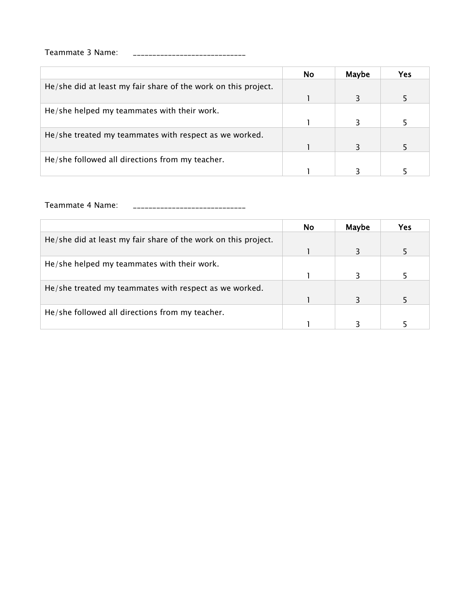## Teammate 3 Name: \_\_\_\_\_\_\_\_\_\_\_\_\_\_\_\_\_\_\_\_\_\_\_\_\_\_\_\_\_

|                                                                | No. | Maybe | Yes |
|----------------------------------------------------------------|-----|-------|-----|
| He/she did at least my fair share of the work on this project. |     |       |     |
|                                                                |     |       |     |
| He/she helped my teammates with their work.                    |     |       |     |
|                                                                |     |       |     |
| He/she treated my teammates with respect as we worked.         |     |       |     |
|                                                                |     |       |     |
| He/she followed all directions from my teacher.                |     |       |     |
|                                                                |     |       |     |

Teammate 4 Name: \_\_\_\_\_\_\_\_\_\_\_\_\_\_\_\_\_\_\_\_\_\_\_\_\_\_\_\_\_

|                                                                | <b>No</b> | Maybe | Yes |
|----------------------------------------------------------------|-----------|-------|-----|
| He/she did at least my fair share of the work on this project. |           |       |     |
|                                                                |           |       |     |
| He/she helped my teammates with their work.                    |           |       |     |
|                                                                |           |       |     |
| He/she treated my teammates with respect as we worked.         |           |       |     |
|                                                                |           |       |     |
| He/she followed all directions from my teacher.                |           |       |     |
|                                                                |           |       |     |